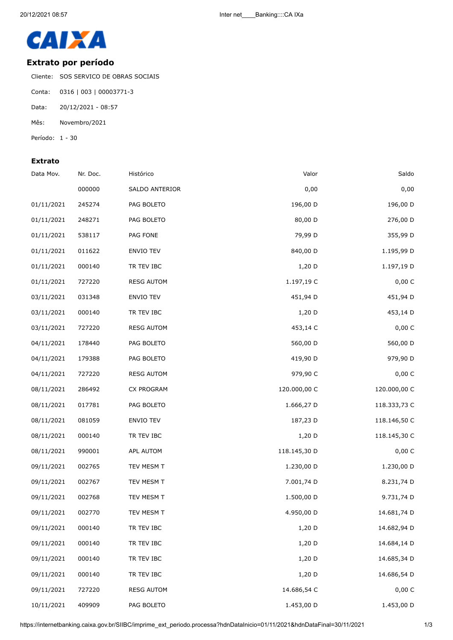

## **Extrato por período**

Cliente: SOS SERVICO DE OBRAS SOCIAIS

- Conta: 0316 | 003 | 00003771-3
- Data: 20/12/2021 08:57
- Mês: Novembro/2021
- Período: 1 30

## **Extrato**

| Data Mov.  | Nr. Doc. | Histórico         | Valor        | Saldo        |
|------------|----------|-------------------|--------------|--------------|
|            | 000000   | SALDO ANTERIOR    | 0,00         | 0,00         |
| 01/11/2021 | 245274   | PAG BOLETO        | 196,00 D     | 196,00 D     |
| 01/11/2021 | 248271   | PAG BOLETO        | 80,00 D      | 276,00 D     |
| 01/11/2021 | 538117   | PAG FONE          | 79,99 D      | 355,99 D     |
| 01/11/2021 | 011622   | ENVIO TEV         | 840,00 D     | 1.195,99 D   |
| 01/11/2021 | 000140   | TR TEV IBC        | 1,20 D       | 1.197,19 D   |
| 01/11/2021 | 727220   | <b>RESG AUTOM</b> | 1.197,19 C   | 0,00 C       |
| 03/11/2021 | 031348   | ENVIO TEV         | 451,94 D     | 451,94 D     |
| 03/11/2021 | 000140   | TR TEV IBC        | $1,20$ D     | 453,14 D     |
| 03/11/2021 | 727220   | <b>RESG AUTOM</b> | 453,14 C     | 0,00 C       |
| 04/11/2021 | 178440   | PAG BOLETO        | 560,00 D     | 560,00 D     |
| 04/11/2021 | 179388   | PAG BOLETO        | 419,90 D     | 979,90 D     |
| 04/11/2021 | 727220   | <b>RESG AUTOM</b> | 979,90 C     | 0,00 C       |
| 08/11/2021 | 286492   | CX PROGRAM        | 120.000,00 C | 120.000,00 C |
| 08/11/2021 | 017781   | PAG BOLETO        | 1.666,27 D   | 118.333,73 C |
| 08/11/2021 | 081059   | <b>ENVIO TEV</b>  | 187,23 D     | 118.146,50 C |
| 08/11/2021 | 000140   | TR TEV IBC        | 1,20 D       | 118.145,30 C |
| 08/11/2021 | 990001   | APL AUTOM         | 118.145,30 D | 0,00 C       |
| 09/11/2021 | 002765   | TEV MESM T        | 1.230,00 D   | 1.230,00 D   |
| 09/11/2021 | 002767   | TEV MESM T        | 7.001,74 D   | 8.231,74 D   |
| 09/11/2021 | 002768   | TEV MESM T        | 1.500,00 D   | 9.731,74 D   |
| 09/11/2021 | 002770   | TEV MESM T        | 4.950,00 D   | 14.681,74 D  |
| 09/11/2021 | 000140   | TR TEV IBC        | 1,20 D       | 14.682,94 D  |
| 09/11/2021 | 000140   | TR TEV IBC        | 1,20 D       | 14.684,14 D  |
| 09/11/2021 | 000140   | TR TEV IBC        | 1,20 D       | 14.685,34 D  |
| 09/11/2021 | 000140   | TR TEV IBC        | 1,20 D       | 14.686,54 D  |
| 09/11/2021 | 727220   | <b>RESG AUTOM</b> | 14.686,54 C  | 0,00 C       |
| 10/11/2021 | 409909   | PAG BOLETO        | 1.453,00 D   | 1.453,00 D   |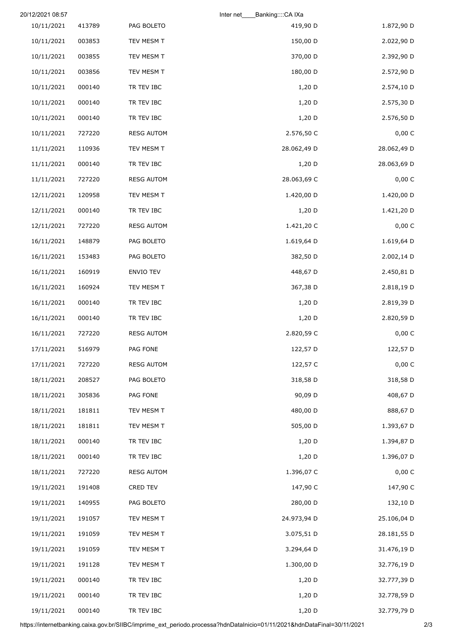|             | Banking::::CA IXa<br>Inter net |                   |        | 20/12/2021 08:57 |
|-------------|--------------------------------|-------------------|--------|------------------|
| 1.872,90 D  | 419,90 D                       | PAG BOLETO        | 413789 | 10/11/2021       |
| 2.022,90 D  | 150,00 D                       | TEV MESM T        | 003853 | 10/11/2021       |
| 2.392,90 D  | 370,00 D                       | TEV MESM T        | 003855 | 10/11/2021       |
| 2.572,90 D  | 180,00 D                       | TEV MESM T        | 003856 | 10/11/2021       |
| 2.574,10 D  | 1,20 D                         | TR TEV IBC        | 000140 | 10/11/2021       |
| 2.575,30 D  | $1,20$ D                       | TR TEV IBC        | 000140 | 10/11/2021       |
| 2.576,50 D  | 1,20 D                         | TR TEV IBC        | 000140 | 10/11/2021       |
| 0,00 C      | 2.576,50 C                     | <b>RESG AUTOM</b> | 727220 | 10/11/2021       |
| 28.062,49 D | 28.062,49 D                    | TEV MESM T        | 110936 | 11/11/2021       |
| 28.063,69 D | $1,20$ D                       | TR TEV IBC        | 000140 | 11/11/2021       |
| 0,00 C      | 28.063,69 C                    | <b>RESG AUTOM</b> | 727220 | 11/11/2021       |
| 1.420,00 D  | 1.420,00 D                     | TEV MESM T        | 120958 | 12/11/2021       |
| 1.421,20 D  | $1,20$ D                       | TR TEV IBC        | 000140 | 12/11/2021       |
| 0,00 C      | 1.421,20 C                     | <b>RESG AUTOM</b> | 727220 | 12/11/2021       |
| 1.619,64 D  | 1.619,64 D                     | PAG BOLETO        | 148879 | 16/11/2021       |
| 2.002,14 D  | 382,50 D                       | PAG BOLETO        | 153483 | 16/11/2021       |
| 2.450,81 D  | 448,67 D                       | ENVIO TEV         | 160919 | 16/11/2021       |
| 2.818,19 D  | 367,38 D                       | TEV MESM T        | 160924 | 16/11/2021       |
| 2.819,39 D  | $1,20$ D                       | TR TEV IBC        | 000140 | 16/11/2021       |
| 2.820,59 D  | 1,20 D                         | TR TEV IBC        | 000140 | 16/11/2021       |
| 0,00 C      | 2.820,59 C                     | <b>RESG AUTOM</b> | 727220 | 16/11/2021       |
| 122,57 D    | 122,57 D                       | PAG FONE          | 516979 | 17/11/2021       |
| 0,00 C      | 122,57 C                       | <b>RESG AUTOM</b> | 727220 | 17/11/2021       |
| 318,58 D    | 318,58 D                       | PAG BOLETO        | 208527 | 18/11/2021       |
| 408,67 D    | 90,09 D                        | PAG FONE          | 305836 | 18/11/2021       |
| 888,67 D    | 480,00 D                       | TEV MESM T        | 181811 | 18/11/2021       |
| 1.393,67 D  | 505,00 D                       | TEV MESM T        | 181811 | 18/11/2021       |
| 1.394,87 D  | $1,20$ D                       | TR TEV IBC        | 000140 | 18/11/2021       |
| 1.396,07 D  | 1,20 D                         | TR TEV IBC        | 000140 | 18/11/2021       |
| 0,00C       | 1.396,07 C                     | <b>RESG AUTOM</b> | 727220 | 18/11/2021       |
| 147,90 C    | 147,90 C                       | CRED TEV          | 191408 | 19/11/2021       |
| 132,10 D    | 280,00 D                       | PAG BOLETO        | 140955 | 19/11/2021       |
| 25.106,04 D | 24.973,94 D                    | TEV MESM T        | 191057 | 19/11/2021       |
| 28.181,55 D | 3.075,51 D                     | TEV MESM T        | 191059 | 19/11/2021       |
| 31.476,19 D | 3.294,64 D                     | TEV MESM T        | 191059 | 19/11/2021       |
| 32.776,19 D | 1.300,00 D                     | TEV MESM T        | 191128 | 19/11/2021       |
| 32.777,39 D | 1,20 D                         | TR TEV IBC        | 000140 | 19/11/2021       |
| 32.778,59 D | 1,20 D                         | TR TEV IBC        | 000140 | 19/11/2021       |
| 32.779,79 D | $1,20$ D                       | TR TEV IBC        | 000140 | 19/11/2021       |